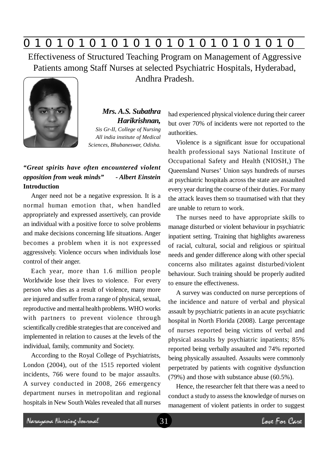

Effectiveness of Structured Teaching Program on Management of Aggressive Patients among Staff Nurses at selected Psychiatric Hospitals, Hyderabad, Andhra Pradesh.



*Mrs. A.S. Subathra Harikrishnan, Sis Gr-II, College of Nursing All india institute of Medical*

*Sciences, Bhubaneswar, Odisha.*

# *"Great spirits have often encountered violent opposition from weak minds" - Albert Einstein* **Introduction**

Anger need not be a negative expression. It is a normal human emotion that, when handled appropriately and expressed assertively, can provide an individual with a positive force to solve problems and make decisions concerning life situations. Anger becomes a problem when it is not expressed aggressively. Violence occurs when individuals lose control of their anger.

Each year, more than 1.6 million people Worldwide lose their lives to violence. For every person who dies as a result of violence, many more are injured and suffer from a range of physical, sexual, reproductive and mental health problems. WHO works with partners to prevent violence through scientifically credible strategies that are conceived and implemented in relation to causes at the levels of the individual, family, community and Society.

According to the Royal College of Psychiatrists, London (2004), out of the 1515 reported violent incidents, 766 were found to be major assaults. A survey conducted in 2008, 266 emergency department nurses in metropolitan and regional hospitals in New South Wales revealed that all nurses had experienced physical violence during their career but over 70% of incidents were not reported to the authorities.

Violence is a significant issue for occupational health professional says National Institute of Occupational Safety and Health (NIOSH,) The Queensland Nurses' Union says hundreds of nurses at psychiatric hospitals across the state are assaulted every year during the course of their duties. For many the attack leaves them so traumatised with that they are unable to return to work.

The nurses need to have appropriate skills to manage disturbed or violent behaviour in psychiatric inpatient setting. Training that highlights awareness of racial, cultural, social and religious or spiritual needs and gender difference along with other special concerns also militates against disturbed/violent behaviour. Such training should be properly audited to ensure the effectiveness.

A survey was conducted on nurse perceptions of the incidence and nature of verbal and physical assault by psychiatric patients in an acute psychiatric hospital in North Florida (2008). Large percentage of nurses reported being victims of verbal and physical assaults by psychiatric inpatients; 85% reported being verbally assaulted and 74% reported being physically assaulted. Assaults were commonly perpetrated by patients with cognitive dysfunction (79%) and those with substance abuse (60.5%).

Hence, the researcher felt that there was a need to conduct a study to assess the knowledge of nurses on management of violent patients in order to suggest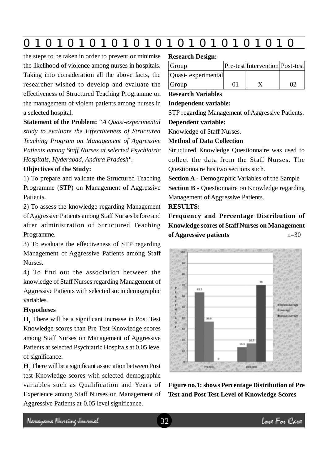|--|

the steps to be taken in order to prevent or minimise the likelihood of violence among nurses in hospitals. Taking into consideration all the above facts, the researcher wished to develop and evaluate the effectiveness of Structured Teaching Programme on the management of violent patients among nurses in a selected hospital.

**Statement of the Problem:** *"A Quasi-experimental study to evaluate the Effectiveness of Structured Teaching Program on Management of Aggressive Patients among Staff Nurses at selected Psychiatric Hospitals, Hyderabad, Andhra Pradesh".*

## **Objectives of the Study:**

1) To prepare and validate the Structured Teaching Programme (STP) on Management of Aggressive Patients.

2) To assess the knowledge regarding Management of Aggressive Patients among Staff Nurses before and after administration of Structured Teaching Programme.

3) To evaluate the effectiveness of STP regarding Management of Aggressive Patients among Staff Nurses.

4) To find out the association between the knowledge of Staff Nurses regarding Management of Aggressive Patients with selected socio demographic variables.

#### **Hypotheses**

**H1** There will be a significant increase in Post Test Knowledge scores than Pre Test Knowledge scores among Staff Nurses on Management of Aggressive Patients at selected Psychiatric Hospitals at 0.05 level of significance.

**H2** There will be a significant association between Post test Knowledge scores with selected demographic variables such as Qualification and Years of Experience among Staff Nurses on Management of Aggressive Patients at 0.05 level significance.

#### **Research Design:**

| Group              |    | Pre-test Intervention Post-test |    |
|--------------------|----|---------------------------------|----|
| Quasi-experimental |    |                                 |    |
| Group              | 01 |                                 | 02 |

## **Research Variables**

#### **Independent variable:**

STP regarding Management of Aggressive Patients. **Dependent variable:**

Knowledge of Staff Nurses.

### **Method of Data Collection**

Structured Knowledge Questionnaire was used to collect the data from the Staff Nurses. The Questionnaire has two sections such.

**Section A -** Demographic Variables of the Sample **Section B - Questionnaire on Knowledge regarding** 

Management of Aggressive Patients.

**RESULTS:**

**Frequency and Percentage Distribution of Knowledge scores of Staff Nurses on Management of Aggressive patients** n=30



**Figure no.1: shows Percentage Distribution of Pre Test and Post Test Level of Knowledge Scores**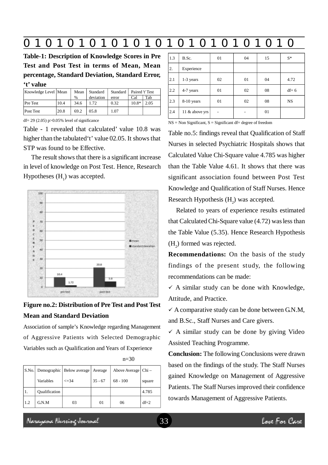# **0 z 0 z 0 z 0 z 0 z 0 z 0 z 0 z 0 z 0 z 0 z 0 z 0**

**Table-1: Description of Knowledge Scores in Pre Test and Post Test in terms of Mean, Mean percentage, Standard Deviation, Standard Error, 't' value**

| Knowledge Level Mean |      | Mean | Standard  | Standard | Paired 't' Test |      |
|----------------------|------|------|-----------|----------|-----------------|------|
|                      |      | $\%$ | deviation | error    | Cal             | Tab  |
| <b>Pre</b> Test      | 10.4 | 34.6 | 1.72      | 0.32     | $10.8*$         | 2.05 |
| Post Test            | 20.8 | 69.2 | 05.8      | 1.07     |                 |      |

df=  $29$  (2.05) p $>0.05\%$  level of significance

Table - 1 revealed that calculated' value 10.8 was higher than the tabulated't' value 02.05. It shows that STP was found to be Effective.

The result shows that there is a significant increase in level of knowledge on Post Test. Hence, Research Hypotheses  $(H_1)$  was accepted.



# **Figure no.2: Distribution of Pre Test and Post Test Mean and Standard Deviation**

Association of sample's Knowledge regarding Management of Aggressive Patients with Selected Demographic Variables such as Qualification and Years of Experience

|     |               | S.No. Demographic   Below average   Average |           | Above Average   Chi – |        |
|-----|---------------|---------------------------------------------|-----------|-----------------------|--------|
|     | Variables     | $\leq$ =34                                  | $35 - 67$ | $68 - 100$            | square |
|     | Qualification |                                             |           |                       | 4.785  |
| 1.2 | G N.M         | 03                                          | 01        | 06                    | $df=2$ |

n=30

| 1.3 | B.Sc.          | 01 | 04 | 15 | $S^*$     |
|-----|----------------|----|----|----|-----------|
| 2.  | Experience     |    |    |    |           |
| 2.1 | 1-3 years      | 02 | 01 | 04 | 4.72      |
| 2.2 | 4-7 years      | 01 | 02 | 08 | $df = 6$  |
| 2.3 | 8-10 years     | 01 | 02 | 08 | <b>NS</b> |
| 2.4 | 11 & above yrs |    |    | 01 |           |

 $NS = Non Significant, S = Significant df = degree of freedom$ 

Table no.5: findings reveal that Qualification of Staff Nurses in selected Psychiatric Hospitals shows that Calculated Value Chi-Square value 4.785 was higher than the Table Value 4.61. It shows that there was significant association found between Post Test Knowledge and Qualification of Staff Nurses. Hence Research Hypothesis  $(H_2)$  was accepted.

Related to years of experience results estimated that Calculated Chi-Square value (4.72) was less than the Table Value (5.35). Hence Research Hypothesis  $(H_2)$  formed was rejected.

**Recommendations:** On the basis of the study findings of the present study, the following recommendations can be made:

 $\checkmark$  A similar study can be done with Knowledge, Attitude, and Practice.

 $\checkmark$  A comparative study can be done between G.N.M, and B.Sc., Staff Nurses and Care givers.

 $\checkmark$  A similar study can be done by giving Video Assisted Teaching Programme.

**Conclusion:** The following Conclusions were drawn based on the findings of the study. The Staff Nurses gained Knowledge on Management of Aggressive Patients. The Staff Nurses improved their confidence towards Management of Aggressive Patients.

Neregeae Nereig Jamach